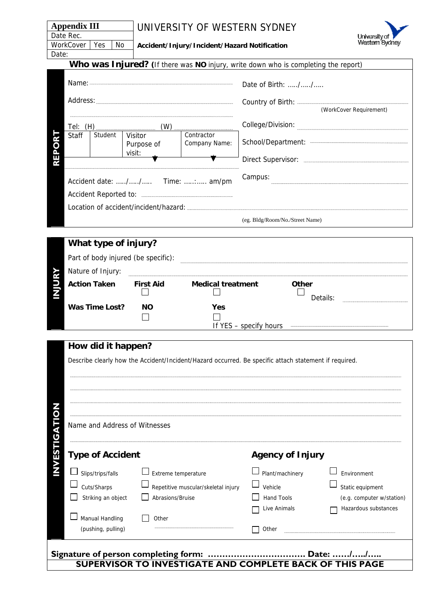| Appendix III    |  |     | UNIVERSITY OF WESTERN SYDNEY                 |  |  |
|-----------------|--|-----|----------------------------------------------|--|--|
| Date Rec.       |  |     |                                              |  |  |
| WorkCover   Yes |  | No. | Accident/Injury/Incident/Hazard Notification |  |  |



Date:

**Accident/Injury/Incident/Hazard Notification** 

|        |                                     |                                 |                                 |                             | Who was Injured? (If there was NO injury, write down who is completing the report) |  |
|--------|-------------------------------------|---------------------------------|---------------------------------|-----------------------------|------------------------------------------------------------------------------------|--|
|        |                                     |                                 |                                 |                             | Date of Birth: //<br>(WorkCover Requirement)                                       |  |
|        |                                     |                                 |                                 |                             |                                                                                    |  |
|        | Tel: $(H)$                          |                                 |                                 |                             | College/Division:                                                                  |  |
| O<br>π | Staff                               | Student                         | Visitor<br>Purpose of<br>visit: | Contractor<br>Company Name: |                                                                                    |  |
|        |                                     | Accident date: // Time: : am/pm |                                 |                             |                                                                                    |  |
|        |                                     |                                 |                                 |                             | Campus:                                                                            |  |
|        |                                     |                                 |                                 |                             |                                                                                    |  |
|        |                                     |                                 |                                 |                             |                                                                                    |  |
|        |                                     |                                 |                                 |                             | (eg. Bldg/Room/No./Street Name)                                                    |  |
|        |                                     |                                 |                                 |                             |                                                                                    |  |
|        |                                     |                                 | What type of injury?            |                             |                                                                                    |  |
|        | Part of body injured (be specific): |                                 |                                 |                             |                                                                                    |  |

| $\frac{1}{2}$ and $\frac{1}{2}$ is a set $\frac{1}{2}$ is a set of $\frac{1}{2}$ is a set of $\frac{1}{2}$ |           |                                  |                   |  |
|------------------------------------------------------------------------------------------------------------|-----------|----------------------------------|-------------------|--|
| Nature of Injury:                                                                                          |           |                                  |                   |  |
| <b>First Aid</b><br><b>Action Taken</b>                                                                    |           | <b>Medical treatment</b>         | Other<br>Details: |  |
| Was Time Lost?                                                                                             | <b>NO</b> | Yes<br>If YES – specify<br>hours |                   |  |
|                                                                                                            |           |                                  |                   |  |

|        | How did it happen?                                    |                                                                                                       |                         |                           |  |
|--------|-------------------------------------------------------|-------------------------------------------------------------------------------------------------------|-------------------------|---------------------------|--|
|        |                                                       | Describe clearly how the Accident/Incident/Hazard occurred. Be specific attach statement if required. |                         |                           |  |
|        |                                                       |                                                                                                       |                         |                           |  |
|        |                                                       |                                                                                                       |                         |                           |  |
|        |                                                       |                                                                                                       |                         |                           |  |
|        |                                                       |                                                                                                       |                         |                           |  |
| G      | Name and Address of Witnesses                         |                                                                                                       |                         |                           |  |
|        |                                                       |                                                                                                       |                         |                           |  |
| ў<br>У | <b>Type of Accident</b>                               |                                                                                                       | <b>Agency of Injury</b> |                           |  |
| Z      | Slips/trips/falls                                     | $\Box$ Extreme temperature                                                                            | Plant/machinery         | Environment               |  |
|        | Cuts/Sharps                                           | Repetitive muscular/skeletal injury                                                                   | Vehicle                 | Static equipment          |  |
|        | Striking an object                                    | Abrasions/Bruise                                                                                      | <b>Hand Tools</b>       | (e.g. computer w/station) |  |
|        |                                                       |                                                                                                       | Live Animals            | Hazardous substances      |  |
|        | Manual Handling                                       | Other                                                                                                 |                         |                           |  |
|        | (pushing, pulling)                                    |                                                                                                       | Other                   |                           |  |
|        | Signature of person completing form:<br><b>Date: </b> |                                                                                                       |                         |                           |  |

**SUPERVISOR TO INVESTIGATE AND COMPLETE BACK OF THIS PAGE**